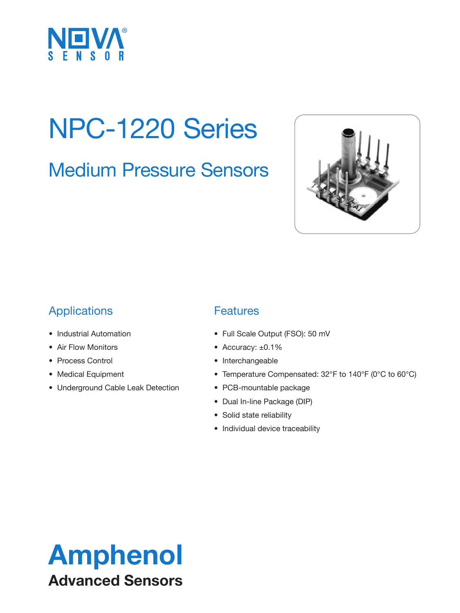

### NPC-1220 Series

Medium Pressure Sensors



### Applications

- Industrial Automation
- Air Flow Monitors
- Process Control
- Medical Equipment
- Underground Cable Leak Detection

### **Features**

- Full Scale Output (FSO): 50 mV
- Accuracy: ±0.1%
- Interchangeable
- Temperature Compensated: 32°F to 140°F (0°C to 60°C)
- PCB-mountable package
- Dual In-line Package (DIP)
- Solid state reliability
- Individual device traceability

### Amphenol Advanced Sensors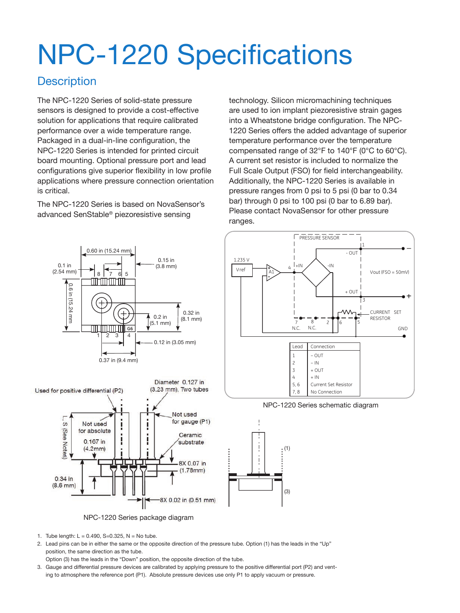# NPC-1220 Specifications

#### **Description**

The NPC-1220 Series of solid-state pressure sensors is designed to provide a cost-effective solution for applications that require calibrated performance over a wide temperature range. Packaged in a dual-in-line configuration, the NPC-1220 Series is intended for printed circuit board mounting. Optional pressure port and lead configurations give superior flexibility in low profile applications where pressure connection orientation is critical.

The NPC-1220 Series is based on NovaSensor's advanced SenStable® piezoresistive sensing

technology. Silicon micromachining techniques are used to ion implant piezoresistive strain gages into a Wheatstone bridge configuration. The NPC-1220 Series offers the added advantage of superior temperature performance over the temperature compensated range of 32°F to 140°F (0°C to 60°C). A current set resistor is included to normalize the Full Scale Output (FSO) for field interchangeability. Additionally, the NPC-1220 Series is available in pressure ranges from 0 psi to 5 psi (0 bar to 0.34 bar) through 0 psi to 100 psi (0 bar to 6.89 bar). Please contact NovaSensor for other pressure ranges.



NPC-1220 Series package diagram

- 1. Tube length:  $L = 0.490$ , S=0.325, N = No tube.
- 2. Lead pins can be in either the same or the opposite direction of the pressure tube. Option (1) has the leads in the "Up" position, the same direction as the tube.
- Option (3) has the leads in the "Down" position, the opposite direction of the tube.
- 3. Gauge and differential pressure devices are calibrated by applying pressure to the positive differential port (P2) and venting to atmosphere the reference port (P1). Absolute pressure devices use only P1 to apply vacuum or pressure.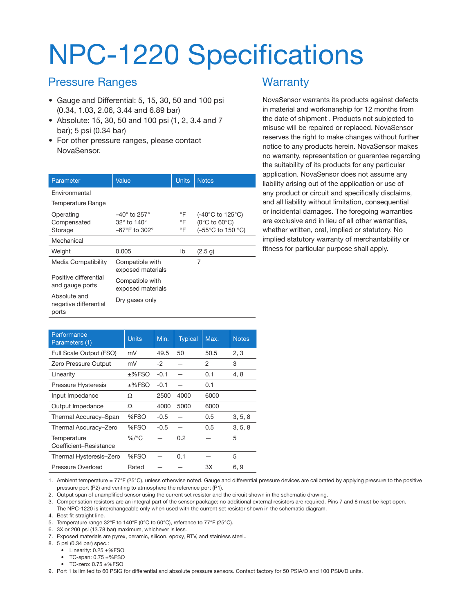### NPC-1220 Specifications

#### Pressure Ranges

- Gauge and Differential: 5, 15, 30, 50 and 100 psi (0.34, 1.03, 2.06, 3.44 and 6.89 bar)
- Absolute: 15, 30, 50 and 100 psi (1, 2, 3.4 and 7 bar); 5 psi (0.34 bar)
- For other pressure ranges, please contact NovaSensor.

| Parameter                                      | Value                                                                                          | <b>Units</b>   | <b>Notes</b>                                                                                     |
|------------------------------------------------|------------------------------------------------------------------------------------------------|----------------|--------------------------------------------------------------------------------------------------|
| Environmental                                  |                                                                                                |                |                                                                                                  |
| Temperature Range                              |                                                                                                |                |                                                                                                  |
| Operating<br>Compensated<br>Storage            | $-40^\circ$ to 257 $^\circ$<br>$32^\circ$ to 140 $^\circ$<br>$-67^{\circ}$ F to 302 $^{\circ}$ | °F<br>°F<br>°F | $(-40^{\circ}$ C to 125 $^{\circ}$ C)<br>$(0^{\circ}$ C to 60 $^{\circ}$ C)<br>(-55°C to 150 °C) |
| Mechanical                                     |                                                                                                |                |                                                                                                  |
| Weight                                         | 0.005                                                                                          | lb             | (2.5 g)                                                                                          |
| Media Compatibility                            | Compatible with<br>exposed materials                                                           |                | 7                                                                                                |
| Positive differential<br>and gauge ports       | Compatible with<br>exposed materials                                                           |                |                                                                                                  |
| Absolute and<br>negative differential<br>ports | Dry gases only                                                                                 |                |                                                                                                  |

#### **Warranty**

NovaSensor warrants its products against defects in material and workmanship for 12 months from the date of shipment . Products not subjected to misuse will be repaired or replaced. NovaSensor reserves the right to make changes without further notice to any products herein. NovaSensor makes no warranty, representation or guarantee regarding the suitability of its products for any particular application. NovaSensor does not assume any liability arising out of the application or use of any product or circuit and specifically disclaims, and all liability without limitation, consequential or incidental damages. The foregoing warranties are exclusive and in lieu of all other warranties, whether written, oral, implied or statutory. No implied statutory warranty of merchantability or fitness for particular purpose shall apply.

| Performance<br>Parameters (1)         | <b>Units</b> | Min.   | <b>Typical</b> | Max. | <b>Notes</b> |
|---------------------------------------|--------------|--------|----------------|------|--------------|
| Full Scale Output (FSO)               | mV           | 49.5   | 50             | 50.5 | 2, 3         |
| Zero Pressure Output                  | mV           | $-2$   |                | 2    | 3            |
| Linearity                             | ±%FSO        | $-0.1$ |                | 0.1  | 4, 8         |
| Pressure Hysteresis                   | $±%$ FSO     | $-0.1$ |                | 0.1  |              |
| Input Impedance                       | Ω            | 2500   | 4000           | 6000 |              |
| Output Impedance                      | Ω            | 4000   | 5000           | 6000 |              |
| Thermal Accuracy-Span                 | %FSO         | $-0.5$ |                | 0.5  | 3, 5, 8      |
| Thermal Accuracy-Zero                 | %FSO         | $-0.5$ |                | 0.5  | 3, 5, 8      |
| Temperature<br>Coefficient-Resistance | $\%$ /°C     |        | 0.2            |      | 5            |
| Thermal Hysteresis-Zero               | %FSO         |        | 0.1            |      | 5            |
| Pressure Overload                     | Rated        |        |                | 3X   | 6, 9         |

1. Ambient temperature = 77°F (25°C), unless otherwise noted. Gauge and differential pressure devices are calibrated by applying pressure to the positive pressure port (P2) and venting to atmosphere the reference port (P1).

2. Output span of unamplified sensor using the current set resistor and the circuit shown in the schematic drawing.

3. Compensation resistors are an integral part of the sensor package; no additional external resistors are required. Pins 7 and 8 must be kept open. The NPC-1220 is interchangeable only when used with the current set resistor shown in the schematic diagram.

4. Best fit straight line.

- 5. Temperature range 32°F to 140°F (0°C to 60°C), reference to 77°F (25°C).
- 6. 3X or 200 psi (13.78 bar) maximum, whichever is less.
- 7. Exposed materials are pyrex, ceramic, silicon, epoxy, RTV, and stainless steel..

8. 5 psi (0.34 bar) spec.:

- Linearity: 0.25 ±%FSO
- TC-span: 0.75 ±%FSO
- TC-zero: 0.75 ±%FSO

9. Port 1 is limited to 60 PSIG for differential and absolute pressure sensors. Contact factory for 50 PSIA/D and 100 PSIA/D units.